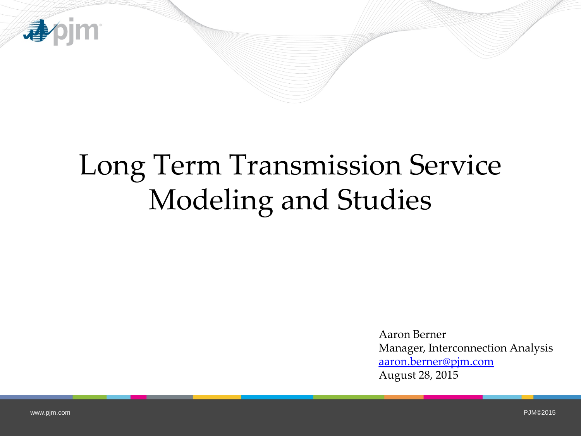

# Long Term Transmission Service Modeling and Studies

Aaron Berner Manager, Interconnection Analysis [aaron.berner@pjm.com](mailto:aaron.berner@pjm.com) August 28, 2015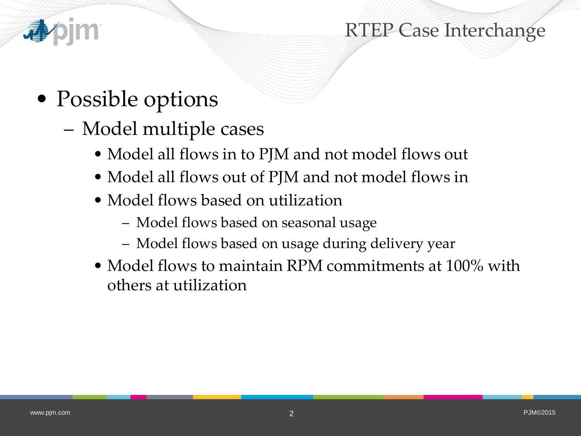

#### RTEP Case Interchange

- Possible options
	- Model multiple cases
		- Model all flows in to PJM and not model flows out
		- Model all flows out of PJM and not model flows in
		- Model flows based on utilization
			- Model flows based on seasonal usage
			- Model flows based on usage during delivery year
		- Model flows to maintain RPM commitments at 100% with others at utilization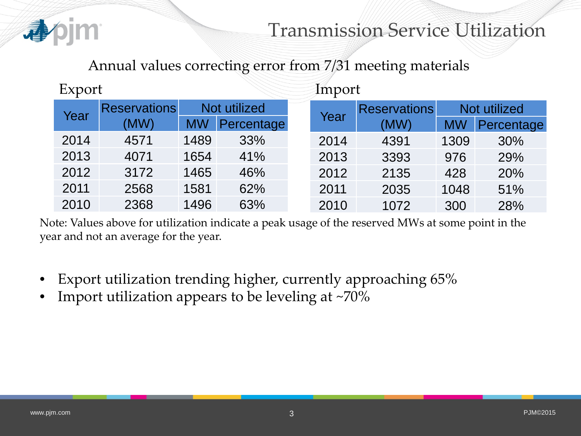

#### Transmission Service Utilization

Annual values correcting error from 7/31 meeting materials

| Export |                     |              |            | Import               |                     |              |            |
|--------|---------------------|--------------|------------|----------------------|---------------------|--------------|------------|
| Year   | <b>Reservations</b> | Not utilized |            |                      | <b>Reservations</b> | Not utilized |            |
|        | (MW)                | <b>MW</b>    | Percentage | Year<br>2014<br>2013 | (MW)                | <b>MW</b>    | Percentage |
| 2014   | 4571                | 1489         | 33%        |                      | 4391                | 1309         | 30%        |
| 2013   | 4071                | 1654         | 41%        |                      | 3393                | 976          | 29%        |
| 2012   | 3172                | 1465         | 46%        | 2012                 | 2135                | 428          | 20%        |
| 2011   | 2568                | 1581         | 62%        | 2011                 | 2035                | 1048         | 51%        |
| 2010   | 2368                | 1496         | 63%        | 2010                 | 1072                | 300          | 28%        |

Note: Values above for utilization indicate a peak usage of the reserved MWs at some point in the year and not an average for the year.

- Export utilization trending higher, currently approaching 65%
- Import utilization appears to be leveling at ~70%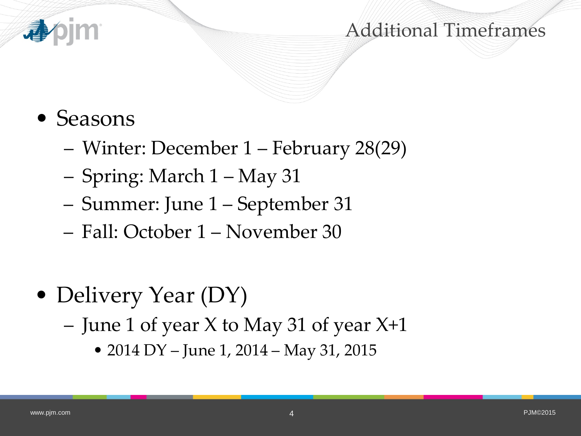

#### Additional Timeframes

- Seasons
	- Winter: December 1 February 28(29)
	- Spring: March 1 May 31
	- Summer: June 1 September 31
	- Fall: October 1 November 30
- Delivery Year (DY)
	- June 1 of year X to May 31 of year X+1
		- 2014 DY June 1, 2014 May 31, 2015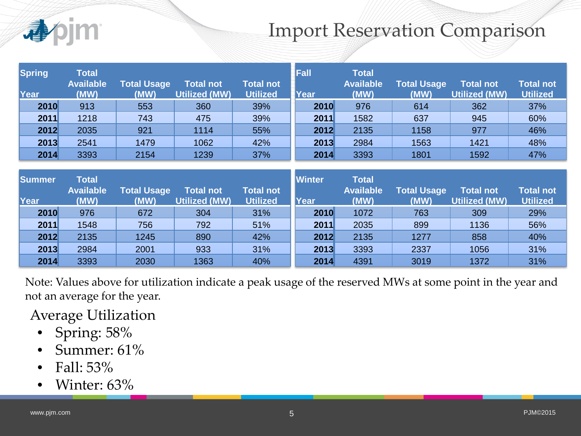#### Import Reservation Comparison

| <b>Spring</b><br>Year | <b>Total</b><br><b>Available</b><br>(MW) | <b>Total Usage</b><br>(MW) | <b>Total not</b><br><b>Utilized (MW)</b> | <b>Total not</b><br><b>Utilized</b> | Fall<br><b>Year</b> | <b>Total</b><br><b>Available</b><br>(MW) | <b>Total Usage</b><br>(MW) | <b>Total not</b><br><b>Utilized (MW)</b> | <b>Total not</b><br><b>Utilized</b> |
|-----------------------|------------------------------------------|----------------------------|------------------------------------------|-------------------------------------|---------------------|------------------------------------------|----------------------------|------------------------------------------|-------------------------------------|
| 2010                  | 913                                      | 553                        | 360                                      | 39%                                 | 2010                | 976                                      | 614                        | 362                                      | 37%                                 |
| 2011                  | 1218                                     | 743                        | 475                                      | 39%                                 | 2011                | 1582                                     | 637                        | 945                                      | 60%                                 |
| 2012                  | 2035                                     | 921                        | 1114                                     | 55%                                 | 2012                | 2135                                     | 1158                       | 977                                      | 46%                                 |
| 2013                  | 2541                                     | 1479                       | 1062                                     | 42%                                 | 2013                | 2984                                     | 1563                       | 1421                                     | 48%                                 |
| 2014                  | 3393                                     | 2154                       | 1239                                     | 37%                                 | 2014                | 3393                                     | 1801                       | 1592                                     | 47%                                 |

| Summer<br>Year | <b>Total</b><br><b>Available</b><br>(MW) | <b>Total Usage</b><br>(MW) | <b>Total not</b><br><b>Utilized (MW)</b> | <b>Total not</b><br><b>Utilized</b> | <b>Winter</b><br>Year | <b>Total</b><br><b>Available</b><br>(MW) | <b>Total Usage</b><br>(MW) | <b>Total not</b><br><b>Utilized (MW)</b> | <b>Total not</b><br><b>Utilized</b> |
|----------------|------------------------------------------|----------------------------|------------------------------------------|-------------------------------------|-----------------------|------------------------------------------|----------------------------|------------------------------------------|-------------------------------------|
| 2010           | 976                                      | 672                        | 304                                      | 31%                                 | 2010                  | 1072                                     | 763                        | 309                                      | 29%                                 |
| 2011           | 1548                                     | 756                        | 792                                      | 51%                                 | 2011                  | 2035                                     | 899                        | 1136                                     | 56%                                 |
| 2012           | 2135                                     | 1245                       | 890                                      | 42%                                 | 2012                  | 2135                                     | 1277                       | 858                                      | 40%                                 |
| 2013           | 2984                                     | 2001                       | 933                                      | 31%                                 | 2013                  | 3393                                     | 2337                       | 1056                                     | 31%                                 |
| 2014           | 3393                                     | 2030                       | 1363                                     | 40%                                 | 2014                  | 4391                                     | 3019                       | 1372                                     | 31%                                 |

Note: Values above for utilization indicate a peak usage of the reserved MWs at some point in the year and not an average for the year.

Average Utilization

- Spring: 58%
- Summer: 61%
- Fall: 53%
- Winter: 63%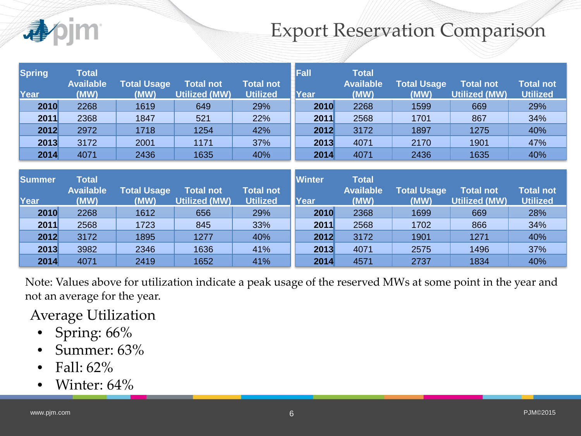### Export Reservation Comparison

| <b>Spring</b><br>Year | <b>Total</b><br><b>Available</b><br>(MW) | <b>Total Usage</b><br>(MW) | <b>Total not</b><br><b>Utilized (MW)</b> | <b>Total not</b><br><b>Utilized</b> | <b>Fall</b><br>Year | <b>Total</b><br><b>Available</b><br>(MW) | <b>Total Usage</b><br>(MW) | <b>Total not</b><br><b>Utilized (MW)</b> | <b>Total not</b><br><b>Utilized</b> |
|-----------------------|------------------------------------------|----------------------------|------------------------------------------|-------------------------------------|---------------------|------------------------------------------|----------------------------|------------------------------------------|-------------------------------------|
| 2010                  | 2268                                     | 1619                       | 649                                      | 29%                                 | 2010                | 2268                                     | 1599                       | 669                                      | 29%                                 |
| 2011                  | 2368                                     | 1847                       | 521                                      | 22%                                 | 2011                | 2568                                     | 1701                       | 867                                      | 34%                                 |
| 2012                  | 2972                                     | 1718                       | 1254                                     | 42%                                 | 2012                | 3172                                     | 1897                       | 1275                                     | 40%                                 |
| 2013                  | 3172                                     | 2001                       | 1171                                     | 37%                                 | 2013                | 4071                                     | 2170                       | 1901                                     | 47%                                 |
| 2014                  | 4071                                     | 2436                       | 1635                                     | 40%                                 | 2014                | 4071                                     | 2436                       | 1635                                     | 40%                                 |

| <b>Summer</b> | <b>Total</b><br><b>Available</b> | <b>Total Usage</b> | Total not            | <b>Total not</b> | <b>Winter</b> | <b>Total</b><br><b>Available</b> | <b>Total Usage</b> | <b>Total not</b>     | <b>Total not</b> |
|---------------|----------------------------------|--------------------|----------------------|------------------|---------------|----------------------------------|--------------------|----------------------|------------------|
| Year          | (MW)                             | (MW)               | <b>Utilized (MW)</b> | <b>Utilized</b>  | Year          | (MW)                             | (MW)               | <b>Utilized (MW)</b> | <b>Utilized</b>  |
| 2010          | 2268                             | 1612               | 656                  | 29%              | 2010          | 2368                             | 1699               | 669                  | 28%              |
| 2011          | 2568                             | 1723               | 845                  | 33%              | 2011          | 2568                             | 1702               | 866                  | 34%              |
| 2012          | 3172                             | 1895               | 1277                 | 40%              | 2012          | 3172                             | 1901               | 1271                 | 40%              |
| 2013          | 3982                             | 2346               | 1636                 | 41%              | 2013          | 4071                             | 2575               | 1496                 | 37%              |
| 2014          | 4071                             | 2419               | 1652                 | 41%              | 2014          | 4571                             | 2737               | 1834                 | 40%              |

Note: Values above for utilization indicate a peak usage of the reserved MWs at some point in the year and not an average for the year.

Average Utilization

- Spring: 66%
- Summer: 63%
- Fall: 62%
- Winter: 64%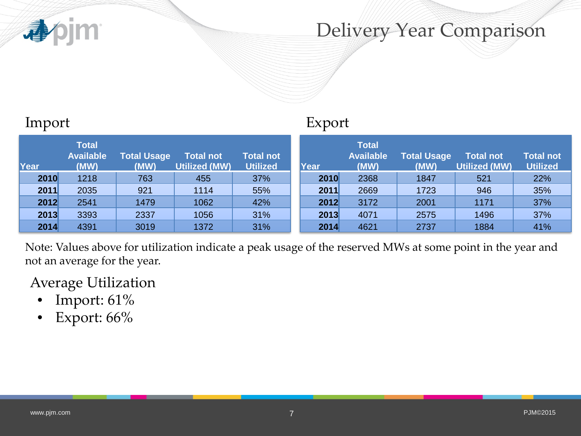

### Delivery Year Comparison

| Import |                                          |                            |                                   |                              | Export |                                          |                            |                                   |                              |  |
|--------|------------------------------------------|----------------------------|-----------------------------------|------------------------------|--------|------------------------------------------|----------------------------|-----------------------------------|------------------------------|--|
| Year   | <b>Total</b><br><b>Available</b><br>(MW) | <b>Total Usage</b><br>(MW) | Total not<br><b>Utilized (MW)</b> | Total not<br><b>Utilized</b> | Year   | <b>Total</b><br><b>Available</b><br>(MW) | <b>Total Usage</b><br>(MW) | <b>Total not</b><br>Utilized (MW) | Total not<br><b>Utilized</b> |  |
| 2010   | 1218                                     | 763                        | 455                               | 37%                          | 2010   | 2368                                     | 1847                       | 521                               | 22%                          |  |
| 2011   | 2035                                     | 921                        | 1114                              | 55%                          | 2011   | 2669                                     | 1723                       | 946                               | 35%                          |  |
| 2012   | 2541                                     | 1479                       | 1062                              | 42%                          | 2012   | 3172                                     | 2001                       | 1171                              | 37%                          |  |
| 2013   | 3393                                     | 2337                       | 1056                              | 31%                          | 2013   | 4071                                     | 2575                       | 1496                              | 37%                          |  |
| 2014   | 4391                                     | 3019                       | 1372                              | 31%                          | 2014   | 4621                                     | 2737                       | 1884                              | 41%                          |  |

Note: Values above for utilization indicate a peak usage of the reserved MWs at some point in the year and not an average for the year.

Average Utilization

- Import: 61%
- Export: 66%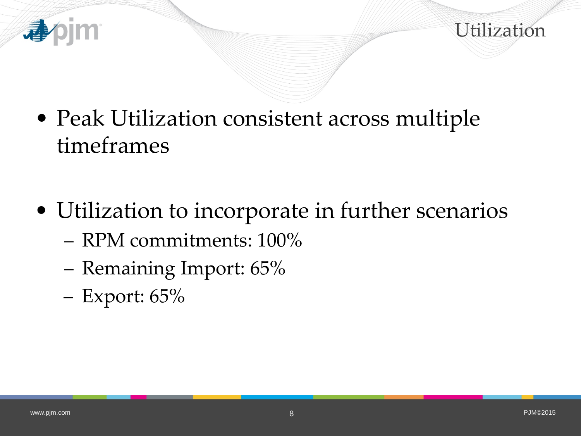



- Peak Utilization consistent across multiple timeframes
- Utilization to incorporate in further scenarios
	- RPM commitments: 100%
	- Remaining Import: 65%
	- Export: 65%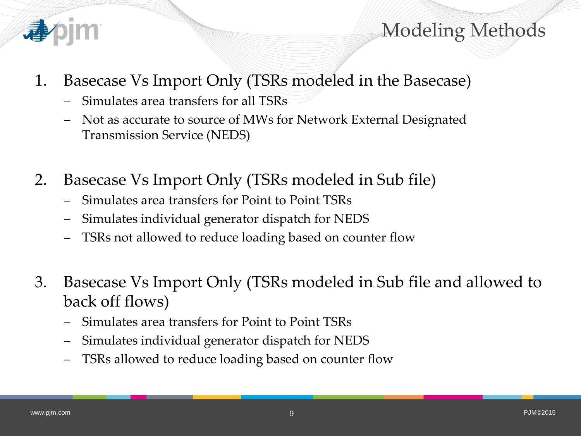

Modeling Methods

- 1. Basecase Vs Import Only (TSRs modeled in the Basecase)
	- Simulates area transfers for all TSRs
	- Not as accurate to source of MWs for Network External Designated Transmission Service (NEDS)
- 2. Basecase Vs Import Only (TSRs modeled in Sub file)
	- Simulates area transfers for Point to Point TSRs
	- Simulates individual generator dispatch for NEDS
	- TSRs not allowed to reduce loading based on counter flow
- 3. Basecase Vs Import Only (TSRs modeled in Sub file and allowed to back off flows)
	- Simulates area transfers for Point to Point TSRs
	- Simulates individual generator dispatch for NEDS
	- TSRs allowed to reduce loading based on counter flow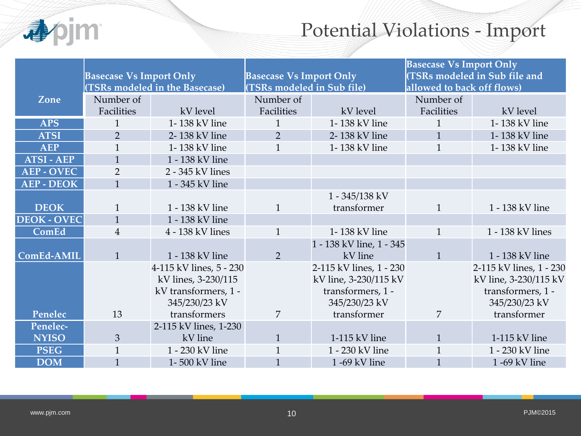

## Potential Violations - Import

|                    |                                |                                |                                |                          | <b>Basecase Vs Import Only</b> |                               |  |
|--------------------|--------------------------------|--------------------------------|--------------------------------|--------------------------|--------------------------------|-------------------------------|--|
|                    | <b>Basecase Vs Import Only</b> |                                | <b>Basecase Vs Import Only</b> |                          |                                | (TSRs modeled in Sub file and |  |
|                    |                                | (TSRs modeled in the Basecase) | (TSRs modeled in Sub file)     |                          | allowed to back off flows)     |                               |  |
| Zone               | Number of                      |                                | Number of                      |                          | Number of                      |                               |  |
|                    | Facilities                     | kV level                       | Facilities                     | kV level                 | Facilities                     | kV level                      |  |
| <b>APS</b>         | $\mathbf{1}$                   | 1-138 kV line                  | $\mathbf{1}$                   | 1-138 kV line            | $\mathbf{1}$                   | 1-138 kV line                 |  |
| <b>ATSI</b>        | $\overline{2}$                 | 2-138 kV line                  | 2                              | 2-138 kV line            | $\mathbf{1}$                   | 1-138 kV line                 |  |
| <b>AEP</b>         | $\mathbf{1}$                   | 1-138 kV line                  | $\mathbf{1}$                   | 1-138 kV line            | $\mathbf{1}$                   | 1-138 kV line                 |  |
| <b>ATSI-AEP</b>    | $\mathbf{1}$                   | 1 - 138 kV line                |                                |                          |                                |                               |  |
| <b>AEP - OVEC</b>  | $\overline{2}$                 | 2 - 345 kV lines               |                                |                          |                                |                               |  |
| <b>AEP - DEOK</b>  | $\mathbf{1}$                   | 1 - 345 kV line                |                                |                          |                                |                               |  |
|                    |                                |                                |                                | 1 - 345/138 kV           |                                |                               |  |
| <b>DEOK</b>        | $\mathbf{1}$                   | 1 - 138 kV line                | $\mathbf{1}$                   | transformer              | $\mathbf{1}$                   | 1 - 138 kV line               |  |
| <b>DEOK - OVEC</b> | $\mathbf{1}$                   | 1 - 138 kV line                |                                |                          |                                |                               |  |
| ComEd              | $\overline{4}$                 | 4 - 138 kV lines               | $\mathbf{1}$                   | 1-138 kV line            | $\mathbf{1}$                   | 1 - 138 kV lines              |  |
|                    |                                |                                |                                | 1 - 138 kV line, 1 - 345 |                                |                               |  |
| ComEd-AMIL         | $\mathbf{1}$                   | 1 - 138 kV line                | $\overline{2}$                 | kV line                  | $\mathbf{1}$                   | 1 - 138 kV line               |  |
|                    |                                | 4-115 kV lines, 5 - 230        |                                | 2-115 kV lines, 1 - 230  |                                | 2-115 kV lines, 1 - 230       |  |
|                    |                                | kV lines, 3-230/115            |                                | kV line, 3-230/115 kV    |                                | kV line, 3-230/115 kV         |  |
|                    |                                | kV transformers, 1 -           |                                | transformers, 1 -        |                                | transformers, 1 -             |  |
|                    |                                | 345/230/23 kV                  |                                | 345/230/23 kV            |                                | 345/230/23 kV                 |  |
| Penelec            | 13                             | transformers                   | $\overline{7}$                 | transformer              | $\overline{7}$                 | transformer                   |  |
| Penelec-           |                                | 2-115 kV lines, 1-230          |                                |                          |                                |                               |  |
| <b>NYISO</b>       | 3                              | kV line                        | $\mathbf{1}$                   | 1-115 kV line            | $\mathbf{1}$                   | 1-115 kV line                 |  |
| <b>PSEG</b>        | $\mathbf{1}$                   | 1 - 230 kV line                | $\mathbf{1}$                   | 1 - 230 kV line          | $\mathbf{1}$                   | 1 - 230 kV line               |  |
| <b>DOM</b>         | $\mathbf{1}$                   | 1-500 kV line                  | $\mathbf{1}$                   | 1 -69 kV line            | $\mathbf{1}$                   | 1 -69 kV line                 |  |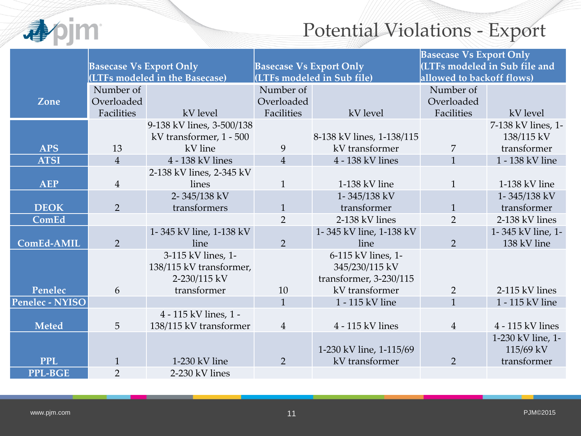

# Potential Violations - Export

|                 |                                |                                |                                |                            | <b>Basecase Vs Export Only</b> |                               |  |
|-----------------|--------------------------------|--------------------------------|--------------------------------|----------------------------|--------------------------------|-------------------------------|--|
|                 | <b>Basecase Vs Export Only</b> |                                | <b>Basecase Vs Export Only</b> |                            |                                | (LTFs modeled in Sub file and |  |
|                 |                                | (LTFs modeled in the Basecase) |                                | (LTFs modeled in Sub file) | allowed to backoff flows)      |                               |  |
|                 | Number of                      |                                | Number of                      |                            | Number of                      |                               |  |
| Zone            | Overloaded                     |                                | Overloaded                     |                            | Overloaded                     |                               |  |
|                 | Facilities                     | kV level                       | Facilities                     | kV level                   | Facilities                     | kV level                      |  |
|                 |                                | 9-138 kV lines, 3-500/138      |                                |                            |                                | 7-138 kV lines, 1-            |  |
|                 |                                | kV transformer, 1 - 500        |                                | 8-138 kV lines, 1-138/115  |                                | 138/115 kV                    |  |
| <b>APS</b>      | 13                             | kV line                        | 9                              | kV transformer             | $\overline{7}$                 | transformer                   |  |
| <b>ATSI</b>     | $\overline{4}$                 | 4 - 138 kV lines               | $\overline{4}$                 | 4 - 138 kV lines           | $\mathbf{1}$                   | 1 - 138 kV line               |  |
|                 |                                | 2-138 kV lines, 2-345 kV       |                                |                            |                                |                               |  |
| <b>AEP</b>      | $\overline{4}$                 | lines                          | $\mathbf{1}$                   | 1-138 kV line              | $\mathbf{1}$                   | 1-138 kV line                 |  |
|                 |                                | 2-345/138 kV                   |                                | 1-345/138 kV               |                                | 1-345/138 kV                  |  |
| <b>DEOK</b>     | $\overline{2}$                 | transformers                   | $\mathbf{1}$                   | transformer                | $\mathbf{1}$                   | transformer                   |  |
| ComEd           |                                |                                | $\overline{2}$                 | 2-138 kV lines             | $\overline{2}$                 | 2-138 kV lines                |  |
|                 |                                | 1-345 kV line, 1-138 kV        |                                | 1-345 kV line, 1-138 kV    |                                | 1-345 kV line, 1-             |  |
| ComEd-AMIL      | $\overline{2}$                 | line                           | $\overline{2}$                 | line                       | $\overline{2}$                 | 138 kV line                   |  |
|                 |                                | 3-115 kV lines, 1-             |                                | 6-115 kV lines, 1-         |                                |                               |  |
|                 |                                | 138/115 kV transformer,        |                                | 345/230/115 kV             |                                |                               |  |
|                 |                                | 2-230/115 kV                   |                                | transformer, 3-230/115     |                                |                               |  |
| Penelec         | 6                              | transformer                    | 10                             | kV transformer             | $\overline{2}$                 | 2-115 kV lines                |  |
| Penelec - NYISO |                                |                                | $\mathbf{1}$                   | 1 - 115 kV line            | $\mathbf{1}$                   | 1 - 115 kV line               |  |
|                 |                                | 4 - 115 kV lines, 1 -          |                                |                            |                                |                               |  |
| <b>Meted</b>    | 5                              | 138/115 kV transformer         | $\overline{4}$                 | 4 - 115 kV lines           | $\overline{4}$                 | 4 - 115 kV lines              |  |
|                 |                                |                                |                                |                            |                                | 1-230 kV line, 1-             |  |
|                 |                                |                                |                                | 1-230 kV line, 1-115/69    |                                | 115/69 kV                     |  |
| <b>PPL</b>      | $\mathbf{1}$                   | 1-230 kV line                  | $\overline{2}$                 | kV transformer             | $\overline{2}$                 | transformer                   |  |
| <b>PPL-BGE</b>  | $\overline{2}$                 | 2-230 kV lines                 |                                |                            |                                |                               |  |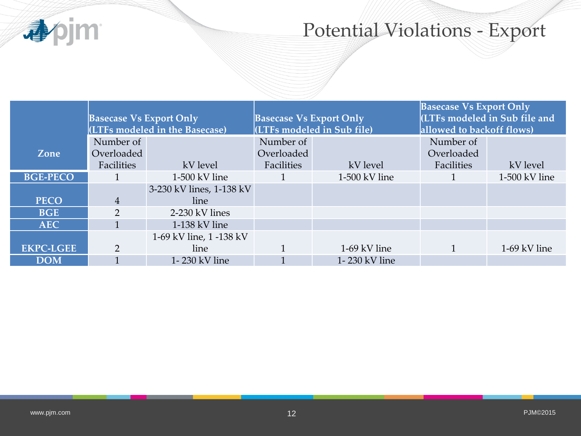

# Potential Violations - Export

|                  | <b>Basecase Vs Export Only</b> |                                | <b>Basecase Vs Export Only</b> |                            | <b>Basecase Vs Export Only</b><br><b>ICOTE:</b> modeled in Sub file and |                 |  |
|------------------|--------------------------------|--------------------------------|--------------------------------|----------------------------|-------------------------------------------------------------------------|-----------------|--|
|                  |                                | (LTFs modeled in the Basecase) |                                | (LTFs modeled in Sub file) | allowed to backoff flows)                                               |                 |  |
|                  | Number of                      |                                | Number of                      |                            | Number of                                                               |                 |  |
| Zone             | Overloaded                     |                                | Overloaded                     |                            | Overloaded                                                              |                 |  |
|                  | Facilities                     | kV level                       | Facilities                     | kV level                   | Facilities                                                              | kV level        |  |
| <b>BGE-PECO</b>  |                                | $1-500$ kV line                |                                | $1-500$ kV line            |                                                                         | $1-500$ kV line |  |
|                  |                                | 3-230 kV lines, 1-138 kV       |                                |                            |                                                                         |                 |  |
| <b>PECO</b>      | 4                              | line                           |                                |                            |                                                                         |                 |  |
| <b>BGE</b>       | $\overline{2}$                 | 2-230 kV lines                 |                                |                            |                                                                         |                 |  |
| <b>AEC</b>       |                                | $1-138$ kV line                |                                |                            |                                                                         |                 |  |
|                  |                                | 1-69 kV line, 1 -138 kV        |                                |                            |                                                                         |                 |  |
| <b>EKPC-LGEE</b> | 2                              | line                           |                                | 1-69 kV line               |                                                                         | $1-69$ kV line  |  |
| <b>DOM</b>       |                                | 1-230 kV line                  |                                | 1-230 kV line              |                                                                         |                 |  |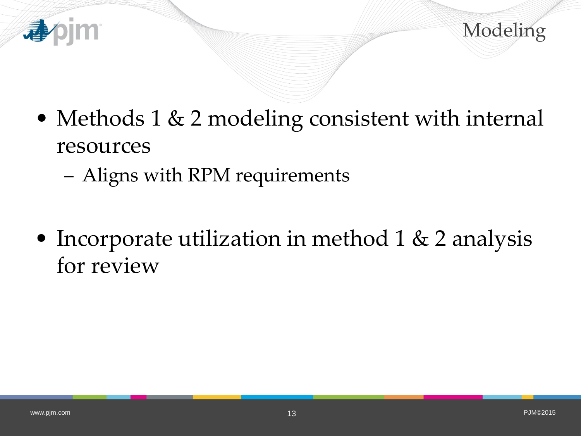



- Methods 1 & 2 modeling consistent with internal resources
	- Aligns with RPM requirements
- Incorporate utilization in method 1 & 2 analysis for review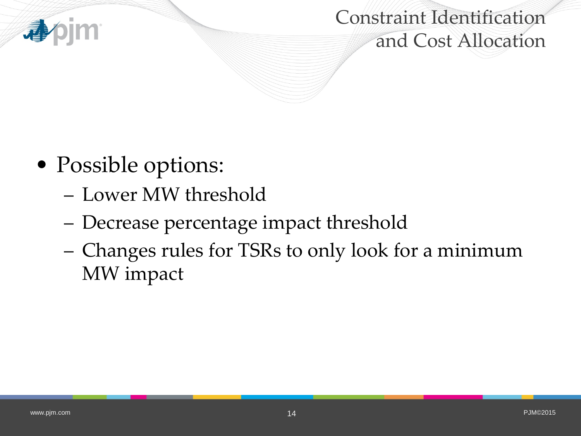

Constraint Identification and Cost Allocation

- Possible options:
	- Lower MW threshold
	- Decrease percentage impact threshold
	- Changes rules for TSRs to only look for a minimum MW impact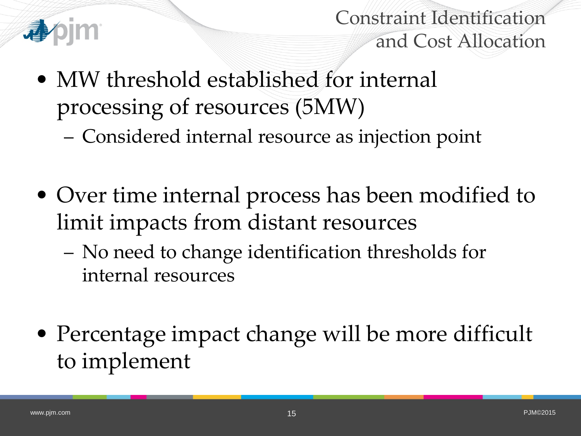

Constraint Identification and Cost Allocation

- MW threshold established for internal processing of resources (5MW)
	- Considered internal resource as injection point
- Over time internal process has been modified to limit impacts from distant resources
	- No need to change identification thresholds for internal resources
- Percentage impact change will be more difficult to implement